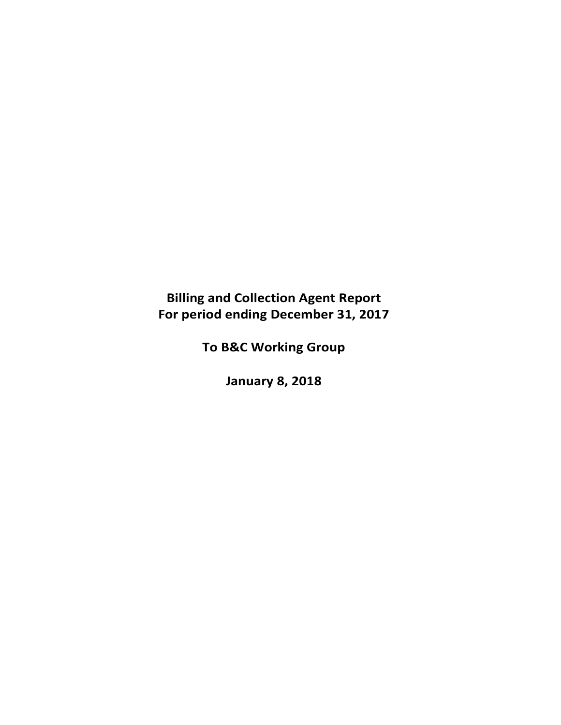# **Billing and Collection Agent Report For period ending December 31, 2017**

**To B&C Working Group**

**January 8, 2018**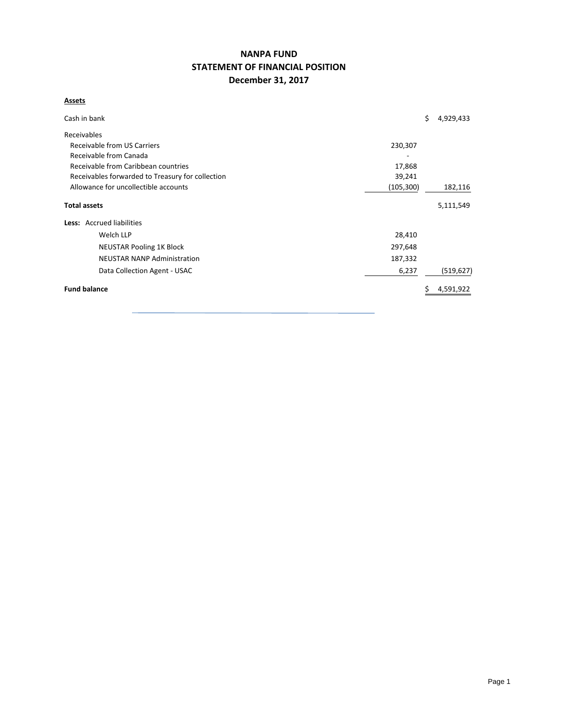## **NANPA FUND STATEMENT OF FINANCIAL POSITION December 31, 2017**

#### **Assets**

| Cash in bank                                     |            | \$<br>4,929,433 |
|--------------------------------------------------|------------|-----------------|
| Receivables                                      |            |                 |
| Receivable from US Carriers                      | 230,307    |                 |
| Receivable from Canada                           |            |                 |
| Receivable from Caribbean countries              | 17,868     |                 |
| Receivables forwarded to Treasury for collection | 39,241     |                 |
| Allowance for uncollectible accounts             | (105, 300) | 182,116         |
| <b>Total assets</b>                              |            | 5,111,549       |
| Less: Accrued liabilities                        |            |                 |
| Welch LLP                                        | 28,410     |                 |
| <b>NEUSTAR Pooling 1K Block</b>                  | 297,648    |                 |
| <b>NEUSTAR NANP Administration</b>               | 187,332    |                 |
| Data Collection Agent - USAC                     | 6,237      | (519, 627)      |
| <b>Fund balance</b>                              |            | 4,591,922       |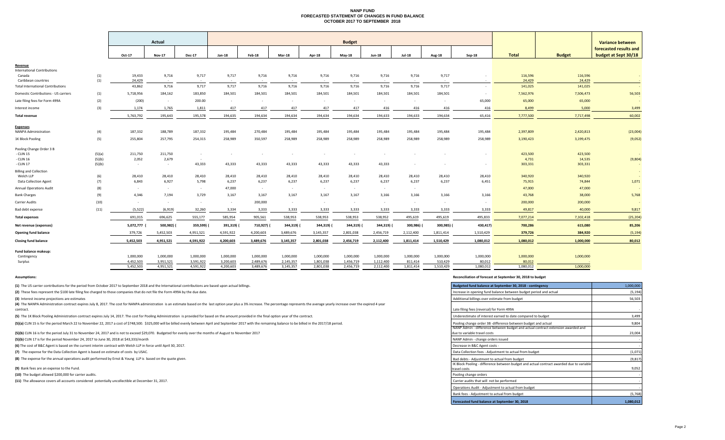#### **NANP FUND FORECASTED STATEMENT OF CHANGES IN FUND BALANCE OCTOBER 2017 TO SEPTEMBER 2018**

|                                                       |            |                        | Actual                 |                        | <b>Budget</b>          |                        |                        |                        |                        |                        |                      |                      |                     |                     |                   | Variance between                               |
|-------------------------------------------------------|------------|------------------------|------------------------|------------------------|------------------------|------------------------|------------------------|------------------------|------------------------|------------------------|----------------------|----------------------|---------------------|---------------------|-------------------|------------------------------------------------|
|                                                       |            | Oct-17                 | <b>Nov-17</b>          | <b>Dec-17</b>          | Jan-18                 | Feb-18                 | Mar-18                 | Apr-18                 | <b>May-18</b>          | <b>Jun-18</b>          | <b>Jul-18</b>        | <b>Aug-18</b>        | $Sep-18$            | <b>Total</b>        | <b>Budget</b>     | forecasted results and<br>budget at Sept 30/18 |
| Revenue                                               |            |                        |                        |                        |                        |                        |                        |                        |                        |                        |                      |                      |                     |                     |                   |                                                |
| <b>International Contributions</b>                    |            |                        |                        |                        |                        |                        |                        |                        |                        |                        |                      |                      |                     |                     |                   |                                                |
| Canada<br>Caribbean countries                         | (1)        | 19,433<br>24,429       | 9,716                  | 9,717                  | 9,717                  | 9,716                  | 9,716                  | 9,716                  | 9,716<br>$\sim$ $\sim$ | 9,716                  | 9,716                | 9,717                |                     | 116,596             | 116,596<br>24,429 |                                                |
| <b>Total International Contributions</b>              | (1)        | 43,862                 | $\sim$<br>9,716        | $\sim$<br>9,717        | 9,717                  | 9,716                  | 9,716                  | 9,716                  | 9,716                  | 9,716                  | 9,716                | 9,717                | $\sim$              | 24,429<br>141,025   | 141,025           |                                                |
| Domestic Contributions - US carriers                  | (1)        | 5,718,956              | 184,162                | 183,850                | 184,501                | 184,501                | 184,501                | 184,501                | 184,501                | 184,501                | 184,501              | 184,501              |                     | 7,562,976           | 7,506,473         | 56,503                                         |
| Late filing fees for Form 499A                        | (2)        | (200)                  | $\sim$                 | 200.00                 | $\sim$                 | $\sim$                 | $\sim$                 | $\sim$                 | $\sim$                 | $\sim$                 | $\sim$               | $\sim$               | 65,000              | 65,000              | 65,000            |                                                |
| Interest income                                       | (3)        | 1,174                  | 1,765                  | 1,811                  | 417                    | 417                    | 417                    | 417                    | 417                    | 416                    | 416                  | 416                  | 416                 | 8,499               | 5,000             | 3,499                                          |
| <b>Total revenue</b>                                  |            | 5,763,792              | 195,643                | 195,578                | 194,635                | 194,634                | 194,634                | 194,634                | 194,634                | 194,633                | 194,633              | 194,634              | 65,416              | 7,777,500           | 7,717,498         | 60,002                                         |
|                                                       |            |                        |                        |                        |                        |                        |                        |                        |                        |                        |                      |                      |                     |                     |                   |                                                |
| <b>Expenses</b><br><b>NANPA Administration</b>        | (4)        | 187,332                | 188,789                | 187,332                | 195,484                | 270,484                | 195,484                | 195,484                | 195,484                | 195,484                | 195,484              | 195,484              | 195,484             | 2,397,809           | 2,420,813         | (23,004)                                       |
| 1K Block Pooling                                      | (5)        | 255,804                | 257,795                | 254,315                | 258,989                | 350,597                | 258,989                | 258,989                | 258,989                | 258,989                | 258,989              | 258,989              | 258,989             | 3,190,423           | 3,199,475         | (9,052)                                        |
| Pooling Change Order 3 B                              |            |                        |                        |                        |                        |                        |                        |                        |                        |                        |                      |                      |                     |                     |                   |                                                |
| - CLIN 15                                             | (5)(a)     | 211,750                | 211,750                | $\sim$                 |                        |                        |                        |                        |                        |                        |                      |                      |                     | 423,500             | 423,500           |                                                |
| - CLIN 16                                             | (5)(b)     | 2,052                  | 2,679                  | $\sim$                 |                        |                        |                        |                        |                        |                        |                      |                      |                     | 4,731               | 14,535            | (9,804)                                        |
| CLIN 17                                               | (5)(b)     | $\sim$                 | $\sim$                 | 43,333                 | 43,333                 | 43,333                 | 43,333                 | 43,333                 | 43,333                 | 43,333                 |                      |                      |                     | 303,331             | 303,331           |                                                |
| <b>Billing and Collection</b>                         |            |                        |                        |                        |                        |                        |                        |                        |                        |                        |                      |                      |                     |                     |                   | $\sim$                                         |
| Welch LLP<br><b>Data Collection Agent</b>             | (6)<br>(7) | 28,410<br>6,843        | 28,410<br>6,927        | 28,410<br>5,798        | 28,410<br>6,237        | 28,410<br>6,237        | 28,410<br>6,237        | 28,410<br>6,237        | 28,410<br>6,237        | 28,410<br>6,237        | 28,410<br>6,237      | 28,410<br>6,237      | 28,410<br>6,451     | 340,920<br>75,915   | 340,920<br>74,844 | 1,071                                          |
|                                                       |            |                        |                        |                        |                        |                        |                        |                        |                        |                        |                      |                      |                     |                     |                   |                                                |
| <b>Annual Operations Audit</b><br><b>Bank Charges</b> | (8)<br>(9) | $\sim$ $-$<br>4,346    | $\sim$<br>7,194        | $\sim$<br>3,729        | 47,000<br>3,167        | $\sim$<br>3,167        | $\sim$<br>3,167        | $\sim$<br>3,167        | $\sim$<br>3,167        | $\sim$<br>3,166        | $\sim$ $-$<br>3,166  | 3,166                | 3,166               | 47,000<br>43,768    | 47,000<br>38,000  | 5,768                                          |
| Carrier Audits                                        | (10)       | $\sim$                 | $\sim$                 | $\sim$                 | $\sim$                 | 200,000                |                        | $\sim$                 | $\sim$                 |                        | $\sim$               |                      |                     | 200,000             | 200,000           |                                                |
| Bad debt expense                                      | (11)       | (5, 522)               | (6, 919)               | 32,260                 | 3,334                  | 3,333                  | 3,333                  | 3,333                  | 3,333                  | 3,333                  | 3,333                | 3,333                | 3,333               | 49,817              | 40,000            | 9,817                                          |
| <b>Total expenses</b>                                 |            | 691,015                | 696,625                | 555,177                | 585,954                | 905,561                | 538,953                | 538,953                | 538,953                | 538,952                | 495,619              | 495,619              | 495,833             | 7,077,214           | 7,102,418         | (25, 204)                                      |
|                                                       |            |                        |                        |                        |                        |                        |                        |                        |                        |                        |                      |                      |                     |                     |                   |                                                |
| Net revenue (expenses)                                |            | 5,072,777              | 500,982) (             | 359,599)               | 391,319)               | 710,927)               | 344,319) (             | 344,319)               | 344,319)               | 344,319) (             | 300,986)             | 300,985) (           | 430,417)            | 700,286             | 615,080           | 85,206                                         |
| <b>Opening fund balance</b>                           |            | 379,726                | 5,452,503              | 4,951,521              | 4,591,922              | 4,200,603              | 3,489,676              | 3,145,357              | 2,801,038              | 2,456,719              | 2,112,400            | 1,811,414            | 1,510,429           | 379,726             | 384,920           | (5, 194)                                       |
| <b>Closing fund balance</b>                           |            | 5,452,503              | 4,951,521              | 4,591,922              | 4,200,603              | 3,489,676              | 3,145,357              | 2,801,038              | 2,456,719              | 2,112,400              | 1,811,414            | 1,510,429            | 1,080,012           | 1,080,012           | 1,000,000         | 80,012                                         |
| Fund balance makeup:                                  |            |                        |                        |                        |                        |                        |                        |                        |                        |                        |                      |                      |                     |                     |                   |                                                |
| Contingency                                           |            | 1,000,000              | 1,000,000              | 1,000,000              | 1,000,000              | 1,000,000              | 1,000,000              | 1,000,000              | 1,000,000              | 1,000,000              | 1,000,000            | 1,000,000            | 1,000,000           | 1,000,000           | 1,000,000         |                                                |
| Surplus                                               |            | 4,452,503<br>5.452.503 | 3,951,521<br>4,951,521 | 3,591,922<br>4,591,922 | 3,200,603<br>4.200.603 | 2,489,676<br>3.489.676 | 2,145,357<br>3,145,357 | 1,801,038<br>2,801,038 | 1,456,719<br>2,456,719 | 1,112,400<br>2,112,400 | 811,414<br>1,811,414 | 510,429<br>1.510.429 | 80,012<br>1.080.012 | 80,012<br>1.080.012 | 1.000.000         |                                                |
|                                                       |            |                        |                        |                        |                        |                        |                        |                        |                        |                        |                      |                      |                     |                     |                   |                                                |

**(1)** The US carrier contributions for the period from October 2017 to September 2018 and the International contributions are based upon actual billings.

(2) These fees represent the \$100 late filing fee charged to those companies that do not file the Form 499A by the due date.

**(3)** Interest income projections are estimates

(4) The NANPA Administration contract expires July 8, 2017. The cost for NANPA administration is an estimate based on the last option year plus a 3% increase. The percentage represents the average yearly increase over the contract.<u>Late</u>

(5) The 1K Block Pooling Administration contract expires July 14, 2017. The cost for Pooling Administration is provided for based on the amount provided in the final option year of the contract.

(5)(a) CLIN 15 is for the period March 22 to November 22, 2017 a cost of \$748,500. \$325,000 will be billed evenly between April and September 2017 with the remaining balance to be billed in the 2017/18 period.

(5)(b) CLIN 16 is for the period July 31 to November 24, 2017 and is not to exceed \$29,070. Budgeted for evenly over the months of August to November 2017

**(5)(b)** CLIN 17 is for the period November 24, 2017 to June 30, 2018 at \$43,333/month

**(6)** The cost of B&C Agent is based on the current interim contract with Welch LLP in force until April 30, 2017.

(7) The expense for the Data Collection Agent is based on estimate of costs by USAC.

**(8)** The expense for the annual operations audit performed by Ernst & Young LLP is based on the quote given.

**(9)** Bank fees are an expense to the Fund.

**(10)** The budget allowed \$200,000 for carrier audits.

**(11)** The allowance covers all accounts considered potentially uncollectible at December 31, 2017.

#### **Assumptions: Reconciliation of forecast at September 30, 2018 to budget**

| Budgeted fund balance at September 30, 2018 - contingency                                                        | 1,000,000 |
|------------------------------------------------------------------------------------------------------------------|-----------|
| Increase in opening fund balance between budget period and actual                                                | (5, 194)  |
| Additional billings over estimate from budget                                                                    | 56,503    |
| Late filing fees (reversal) for Form 499A                                                                        |           |
| Underestimate of interest earned to date compared to budget                                                      | 3,499     |
| Pooling change order 3B -difference between budget and actual                                                    | 9,804     |
| NANP Admin - difference between budget and actual contract extension awarded and<br>due to variable travel costs | 23,004    |
| NANP Admin - change orders issued                                                                                |           |
| Decrease in B&C Agent costs -                                                                                    |           |
| Data Collection fees - Adjustment to actual from budget                                                          | (1,071)   |
| Bad debts - Adjustment to actual from budget                                                                     | (9, 817)  |
| IK Block Pooling - difference between budget and actual contract awarded due to variable<br>travel costs         | 9,052     |
| Pooling change orders                                                                                            |           |
| Carrier audits that will not be performed                                                                        |           |
| Operations Audit - Adjustment to actual from budget                                                              |           |
| Bank fees - Adjustment to actual from budget                                                                     | (5,768)   |
| Forecasted fund balance at September 30, 2018                                                                    | 1.080.012 |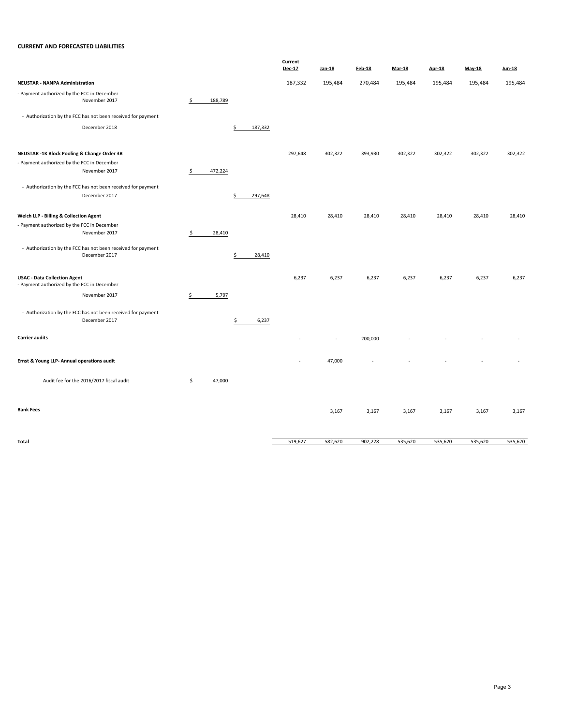#### **CURRENT AND FORECASTED LIABILITIES**

|                                                                                    |               |               | Current |         |               |               |               |         |               |  |
|------------------------------------------------------------------------------------|---------------|---------------|---------|---------|---------------|---------------|---------------|---------|---------------|--|
|                                                                                    |               |               | Dec-17  | Jan-18  | <b>Feb-18</b> | <b>Mar-18</b> | <b>Apr-18</b> | May-18  | <b>Jun-18</b> |  |
| <b>NEUSTAR - NANPA Administration</b>                                              |               |               | 187,332 | 195,484 | 270,484       | 195,484       | 195,484       | 195,484 | 195,484       |  |
| - Payment authorized by the FCC in December<br>November 2017                       | \$<br>188,789 |               |         |         |               |               |               |         |               |  |
| - Authorization by the FCC has not been received for payment                       |               |               |         |         |               |               |               |         |               |  |
| December 2018                                                                      |               | \$<br>187,332 |         |         |               |               |               |         |               |  |
| NEUSTAR -1K Block Pooling & Change Order 3B                                        |               |               | 297,648 | 302,322 | 393,930       | 302,322       | 302,322       | 302,322 | 302,322       |  |
| - Payment authorized by the FCC in December                                        |               |               |         |         |               |               |               |         |               |  |
| November 2017                                                                      | \$<br>472,224 |               |         |         |               |               |               |         |               |  |
| - Authorization by the FCC has not been received for payment                       |               |               |         |         |               |               |               |         |               |  |
| December 2017                                                                      |               | 297,648<br>\$ |         |         |               |               |               |         |               |  |
| Welch LLP - Billing & Collection Agent                                             |               |               | 28,410  | 28,410  | 28,410        | 28,410        | 28,410        | 28,410  | 28,410        |  |
| - Payment authorized by the FCC in December                                        |               |               |         |         |               |               |               |         |               |  |
| November 2017                                                                      | \$<br>28,410  |               |         |         |               |               |               |         |               |  |
| - Authorization by the FCC has not been received for payment                       |               |               |         |         |               |               |               |         |               |  |
| December 2017                                                                      |               | \$<br>28,410  |         |         |               |               |               |         |               |  |
| <b>USAC - Data Collection Agent</b><br>- Payment authorized by the FCC in December |               |               | 6,237   | 6,237   | 6,237         | 6,237         | 6,237         | 6,237   | 6,237         |  |
| November 2017                                                                      | \$<br>5,797   |               |         |         |               |               |               |         |               |  |
| - Authorization by the FCC has not been received for payment<br>December 2017      |               | \$<br>6,237   |         |         |               |               |               |         |               |  |
|                                                                                    |               |               |         |         |               |               |               |         |               |  |
| <b>Carrier audits</b>                                                              |               |               |         |         | 200,000       |               |               |         |               |  |
| Ernst & Young LLP- Annual operations audit                                         |               |               |         | 47,000  |               |               |               |         |               |  |
| Audit fee for the 2016/2017 fiscal audit                                           | \$<br>47,000  |               |         |         |               |               |               |         |               |  |
| <b>Bank Fees</b>                                                                   |               |               |         | 3,167   | 3,167         | 3,167         | 3,167         | 3,167   | 3,167         |  |
|                                                                                    |               |               |         |         |               |               |               |         |               |  |
| Total                                                                              |               |               | 519,627 | 582,620 | 902,228       | 535,620       | 535,620       | 535,620 | 535,620       |  |